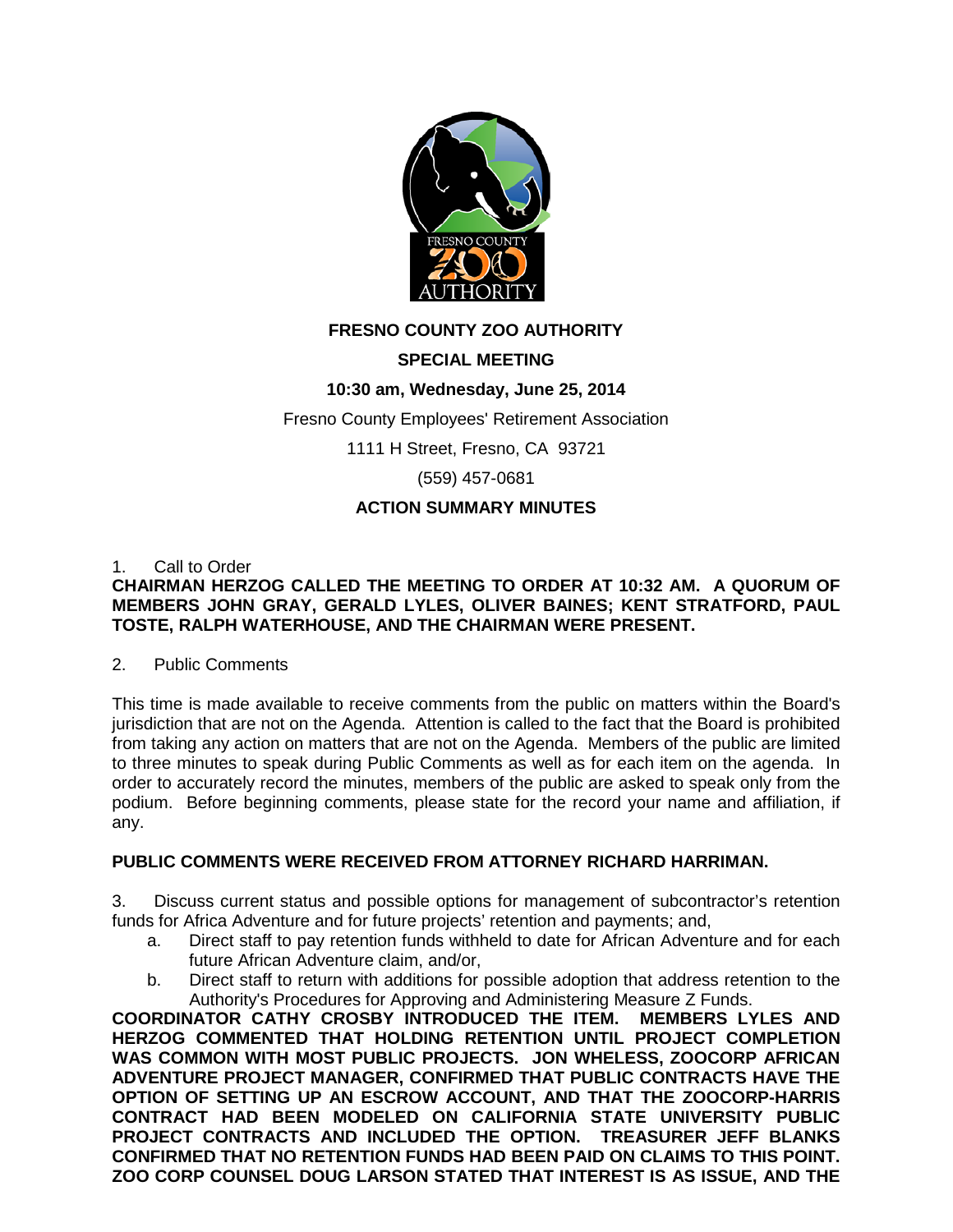

# **FRESNO COUNTY ZOO AUTHORITY**

# **SPECIAL MEETING**

# **10:30 am, Wednesday, June 25, 2014**

Fresno County Employees' Retirement Association

1111 H Street, Fresno, CA 93721

(559) 457-0681

## **ACTION SUMMARY MINUTES**

#### 1. Call to Order

## **CHAIRMAN HERZOG CALLED THE MEETING TO ORDER AT 10:32 AM. A QUORUM OF MEMBERS JOHN GRAY, GERALD LYLES, OLIVER BAINES; KENT STRATFORD, PAUL TOSTE, RALPH WATERHOUSE, AND THE CHAIRMAN WERE PRESENT.**

#### 2. Public Comments

This time is made available to receive comments from the public on matters within the Board's jurisdiction that are not on the Agenda. Attention is called to the fact that the Board is prohibited from taking any action on matters that are not on the Agenda. Members of the public are limited to three minutes to speak during Public Comments as well as for each item on the agenda. In order to accurately record the minutes, members of the public are asked to speak only from the podium. Before beginning comments, please state for the record your name and affiliation, if any.

## **PUBLIC COMMENTS WERE RECEIVED FROM ATTORNEY RICHARD HARRIMAN.**

3. Discuss current status and possible options for management of subcontractor's retention funds for Africa Adventure and for future projects' retention and payments; and,

- a. Direct staff to pay retention funds withheld to date for African Adventure and for each future African Adventure claim, and/or,
- b. Direct staff to return with additions for possible adoption that address retention to the Authority's Procedures for Approving and Administering Measure Z Funds.

**COORDINATOR CATHY CROSBY INTRODUCED THE ITEM. MEMBERS LYLES AND HERZOG COMMENTED THAT HOLDING RETENTION UNTIL PROJECT COMPLETION WAS COMMON WITH MOST PUBLIC PROJECTS. JON WHELESS, ZOOCORP AFRICAN ADVENTURE PROJECT MANAGER, CONFIRMED THAT PUBLIC CONTRACTS HAVE THE OPTION OF SETTING UP AN ESCROW ACCOUNT, AND THAT THE ZOOCORP-HARRIS CONTRACT HAD BEEN MODELED ON CALIFORNIA STATE UNIVERSITY PUBLIC PROJECT CONTRACTS AND INCLUDED THE OPTION. TREASURER JEFF BLANKS CONFIRMED THAT NO RETENTION FUNDS HAD BEEN PAID ON CLAIMS TO THIS POINT. ZOO CORP COUNSEL DOUG LARSON STATED THAT INTEREST IS AS ISSUE, AND THE**